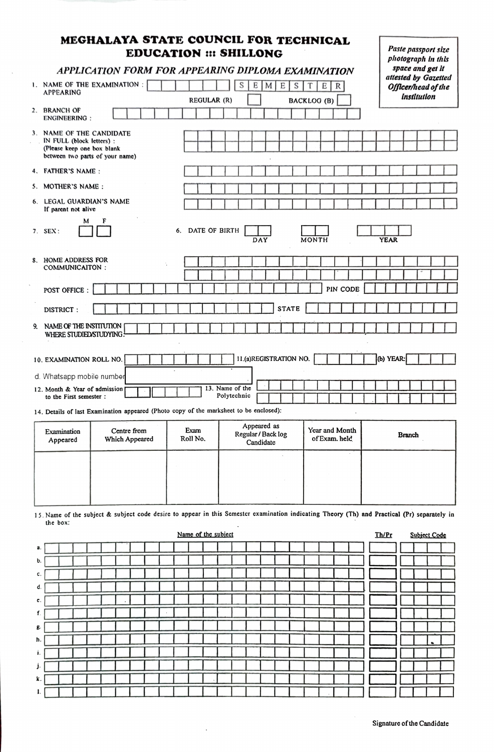## MEGHALAYA STATE COUNCIL FOR TECHNICAL EDUCATION ## SHILLONG

| .                                                                                                                                                        | photograph in this                                                                                 |  |  |  |  |  |  |  |
|----------------------------------------------------------------------------------------------------------------------------------------------------------|----------------------------------------------------------------------------------------------------|--|--|--|--|--|--|--|
| APPLICATION FORM FOR APPEARING DIPLOMA EXAMINATION                                                                                                       | space and get it<br>attested by Gazetted                                                           |  |  |  |  |  |  |  |
| 1. NAME OF THE EXAMINATION :<br><b>APPEARING</b>                                                                                                         | S<br>E<br>M<br>E<br>S<br>T<br>Е<br>$\mathbb R$<br>Officer/head of the<br>institution               |  |  |  |  |  |  |  |
| REGULAR (R)<br>2. BRANCH OF<br><b>ENGINEERING:</b>                                                                                                       | <b>BACKLOG (B)</b>                                                                                 |  |  |  |  |  |  |  |
| 3. NAME OF THE CANDIDATE<br>IN FULL (block letters) :<br>(Please keep one box blank<br>between two parts of your name)                                   |                                                                                                    |  |  |  |  |  |  |  |
| 4. FATHER'S NAME:                                                                                                                                        |                                                                                                    |  |  |  |  |  |  |  |
| 5. MOTHER'S NAME:                                                                                                                                        |                                                                                                    |  |  |  |  |  |  |  |
| 6. LEGAL GUARDIAN'S NAME<br>If parent not alive                                                                                                          |                                                                                                    |  |  |  |  |  |  |  |
| F<br>м<br>DATE OF BIRTH<br>6.<br>$7.$ SEX:                                                                                                               | DAY<br>MONTH<br><b>YEAR</b>                                                                        |  |  |  |  |  |  |  |
| 8. HOME ADDRESS FOR<br>COMMUNICAITON:                                                                                                                    |                                                                                                    |  |  |  |  |  |  |  |
| POST OFFICE :                                                                                                                                            | PIN CODE                                                                                           |  |  |  |  |  |  |  |
| DISTRICT:                                                                                                                                                | <b>STATE</b>                                                                                       |  |  |  |  |  |  |  |
| 9. NAME OF THE INSTITUTION<br>WHERE STUDIED/STUDYING!                                                                                                    |                                                                                                    |  |  |  |  |  |  |  |
| 10. EXAMINATION ROLL NO.                                                                                                                                 | 11.(a)REGISTRATION NO.<br>(b) YEAR:                                                                |  |  |  |  |  |  |  |
| d. Whatsapp mobile number                                                                                                                                |                                                                                                    |  |  |  |  |  |  |  |
| 12. Month & Year of admission<br>to the First semester:                                                                                                  | 13. Name of the<br>Polytechnic                                                                     |  |  |  |  |  |  |  |
| 14. Details of last Examination appeared (Photo copy of the marksheet to be enclosed):                                                                   |                                                                                                    |  |  |  |  |  |  |  |
| Centre from<br>Exam<br>Examination<br>Roll No.<br>Which Appeared<br>Appeared                                                                             | Appeared as<br>Year and Month<br>Regular / Back log<br><b>Branch</b><br>of Exam. held<br>Candidate |  |  |  |  |  |  |  |
|                                                                                                                                                          |                                                                                                    |  |  |  |  |  |  |  |
|                                                                                                                                                          |                                                                                                    |  |  |  |  |  |  |  |
| 15. Name of the subject & subject code desire to appear in this Semester examination indicating Theory (Th) and Practical (Pr) separately in<br>the box: |                                                                                                    |  |  |  |  |  |  |  |
| Name of the subject                                                                                                                                      | <u>Th/Pr</u><br>Subject Code                                                                       |  |  |  |  |  |  |  |
| a.                                                                                                                                                       |                                                                                                    |  |  |  |  |  |  |  |
| b.                                                                                                                                                       |                                                                                                    |  |  |  |  |  |  |  |

| С.         |  |  |  |  |                                                                                                                    | .                        |  |                 |  |              |  |                                        |         |  |  |  |
|------------|--|--|--|--|--------------------------------------------------------------------------------------------------------------------|--------------------------|--|-----------------|--|--------------|--|----------------------------------------|---------|--|--|--|
| d.         |  |  |  |  |                                                                                                                    |                          |  |                 |  |              |  |                                        |         |  |  |  |
| e.         |  |  |  |  |                                                                                                                    |                          |  |                 |  |              |  |                                        |         |  |  |  |
|            |  |  |  |  | $\mathbf{L}$ and $\mathbf{L}$ and $\mathbf{L}$ and $\mathbf{L}$ and $\mathbf{L}$ and $\mathbf{L}$ and $\mathbf{L}$ |                          |  |                 |  |              |  |                                        |         |  |  |  |
| $\epsilon$ |  |  |  |  |                                                                                                                    | <b>The Common Street</b> |  | $1$ $1$ $1$ $1$ |  | $\mathbf{1}$ |  | $\mathbf{1}$ $\mathbf{1}$ $\mathbf{1}$ |         |  |  |  |
| h.         |  |  |  |  |                                                                                                                    | 1 <b>1</b> 1 1 1 1 1 1   |  |                 |  |              |  |                                        |         |  |  |  |
| i. $\vert$ |  |  |  |  |                                                                                                                    |                          |  |                 |  |              |  | <b>Contract Contract Contract</b>      |         |  |  |  |
|            |  |  |  |  |                                                                                                                    |                          |  |                 |  |              |  |                                        | $\Box$  |  |  |  |
| k. I       |  |  |  |  |                                                                                                                    | 1114111                  |  |                 |  |              |  |                                        |         |  |  |  |
|            |  |  |  |  | 1 1 1 1 1 1 1 1 1 1 1 1 1                                                                                          |                          |  |                 |  |              |  |                                        | 1.1 1.1 |  |  |  |

c.

Paste passport size